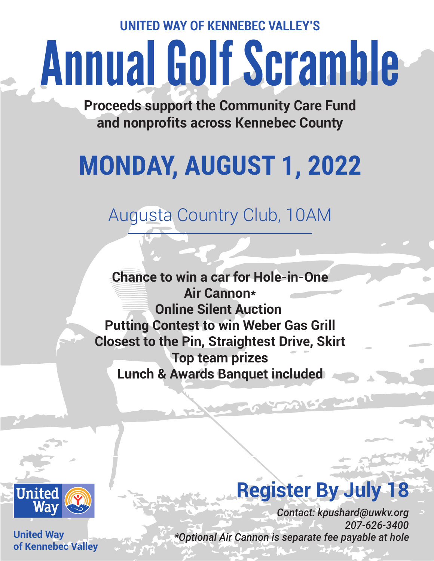**UNITED WAY OF KENNEBEC VALLEY'S**

# Annual Golf Scramble

**Proceeds support the Community Care Fund and nonprofits across Kennebec County**

## **MONDAY, AUGUST 1, 2022**

### Augusta Country Club, 10AM

**Chance to win a car for Hole-in-One Air Cannon\* Online Silent Auction Putting Contest to win Weber Gas Grill Closest to the Pin, Straightest Drive, Skirt Top team prizes Lunch & Awards Banquet included**



**United Way of Kennebec Valley**

### **Register By July 18**

AISZ

*Contact: kpushard@uwkv.org 207-626-3400 \*Optional Air Cannon is separate fee payable at hole*